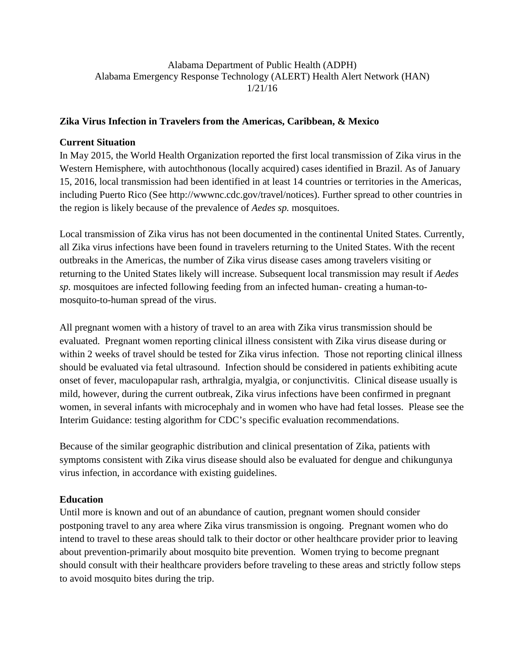Alabama Department of Public Health (ADPH) Alabama Emergency Response Technology (ALERT) Health Alert Network (HAN) 1/21/16

#### **Zika Virus Infection in Travelers from the Americas, Caribbean, & Mexico**

#### **Current Situation**

In May 2015, the World Health Organization reported the first local transmission of Zika virus in the Western Hemisphere, with autochthonous (locally acquired) cases identified in Brazil. As of January 15, 2016, local transmission had been identified in at least 14 countries or territories in the Americas, including Puerto Rico (See http://wwwnc.cdc.gov/travel/notices). Further spread to other countries in the region is likely because of the prevalence of *Aedes sp.* mosquitoes.

Local transmission of Zika virus has not been documented in the continental United States. Currently, all Zika virus infections have been found in travelers returning to the United States. With the recent outbreaks in the Americas, the number of Zika virus disease cases among travelers visiting or returning to the United States likely will increase. Subsequent local transmission may result if *Aedes sp.* mosquitoes are infected following feeding from an infected human- creating a human-tomosquito-to-human spread of the virus.

All pregnant women with a history of travel to an area with Zika virus transmission should be evaluated. Pregnant women reporting clinical illness consistent with Zika virus disease during or within 2 weeks of travel should be tested for Zika virus infection. Those not reporting clinical illness should be evaluated via fetal ultrasound. Infection should be considered in patients exhibiting acute onset of fever, maculopapular rash, arthralgia, myalgia, or conjunctivitis. Clinical disease usually is mild, however, during the current outbreak, Zika virus infections have been confirmed in pregnant women, in several infants with microcephaly and in women who have had fetal losses. Please see the Interim Guidance: testing algorithm for CDC's specific evaluation recommendations.

Because of the similar geographic distribution and clinical presentation of Zika, patients with symptoms consistent with Zika virus disease should also be evaluated for dengue and chikungunya virus infection, in accordance with existing guidelines.

### **Education**

Until more is known and out of an abundance of caution, pregnant women should consider postponing travel to any area where Zika virus transmission is ongoing. Pregnant women who do intend to travel to these areas should talk to their doctor or other healthcare provider prior to leaving about prevention-primarily about mosquito bite prevention. Women trying to become pregnant should consult with their healthcare providers before traveling to these areas and strictly follow steps to avoid mosquito bites during the trip.